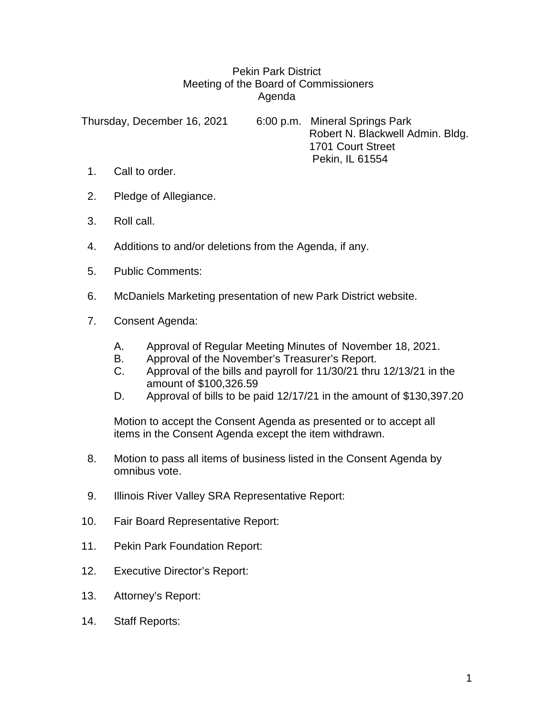## Pekin Park District Meeting of the Board of Commissioners Agenda

Thursday, December 16, 2021 6:00 p.m. Mineral Springs Park Robert N. Blackwell Admin. Bldg. 1701 Court Street Pekin, IL 61554

- 1. Call to order.
- 2. Pledge of Allegiance.
- 3. Roll call.
- 4. Additions to and/or deletions from the Agenda, if any.
- 5. Public Comments:
- 6. McDaniels Marketing presentation of new Park District website.
- 7. Consent Agenda:
	- A. Approval of Regular Meeting Minutes of November 18, 2021.
	- B. Approval of the November's Treasurer's Report.
	- C. Approval of the bills and payroll for 11/30/21 thru 12/13/21 in the amount of \$100,326.59
	- D. Approval of bills to be paid 12/17/21 in the amount of \$130,397.20

Motion to accept the Consent Agenda as presented or to accept all items in the Consent Agenda except the item withdrawn.

- 8. Motion to pass all items of business listed in the Consent Agenda by omnibus vote.
- 9. Illinois River Valley SRA Representative Report:
- 10. Fair Board Representative Report:
- 11. Pekin Park Foundation Report:
- 12. Executive Director's Report:
- 13. Attorney's Report:
- 14. Staff Reports: